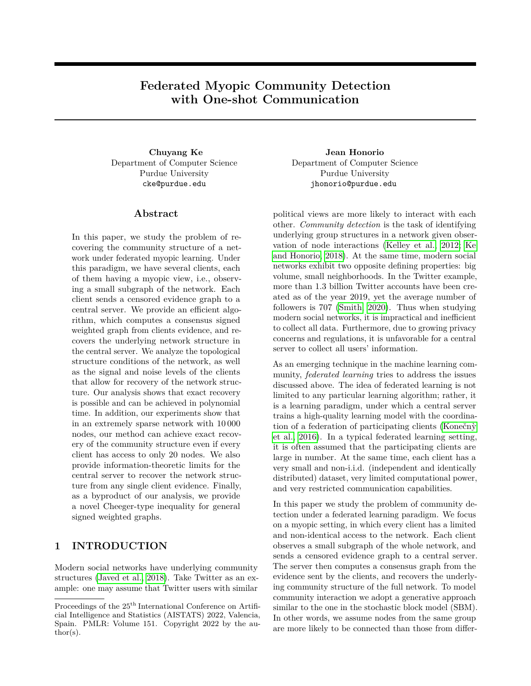# **Federated Myopic Community Detection with One-shot Communication**

Department of Computer Science Purdue University cke@purdue.edu

### **Abstract**

In this paper, we study the problem of recovering the community structure of a network under federated myopic learning. Under this paradigm, we have several clients, each of them having a myopic view, i.e., observing a small subgraph of the network. Each client sends a censored evidence graph to a central server. We provide an efficient algorithm, which computes a consensus signed weighted graph from clients evidence, and recovers the underlying network structure in the central server. We analyze the topological structure conditions of the network, as well as the signal and noise levels of the clients that allow for recovery of the network structure. Our analysis shows that exact recovery is possible and can be achieved in polynomial time. In addition, our experiments show that in an extremely sparse network with 10 000 nodes, our method can achieve exact recovery of the community structure even if every client has access to only 20 nodes. We also provide information-theoretic limits for the central server to recover the network structure from any single client evidence. Finally, as a byproduct of our analysis, we provide a novel Cheeger-type inequality for general signed weighted graphs.

### **1 INTRODUCTION**

Modern social networks have underlying community structures [\(Javed et al., 2018\)](#page-9-0). Take Twitter as an example: one may assume that Twitter users with similar

**Chuyang Ke Jean Honorio** Department of Computer Science Purdue University jhonorio@purdue.edu

> political views are more likely to interact with each other. *Community detection* is the task of identifying underlying group structures in a network given observation of node interactions [\(Kelley et al., 2012;](#page-9-1) [Ke](#page-9-2) [and Honorio, 2018\)](#page-9-2). At the same time, modern social networks exhibit two opposite defining properties: big volume, small neighborhoods. In the Twitter example, more than 1.3 billion Twitter accounts have been created as of the year 2019, yet the average number of followers is 707 [\(Smith, 2020\)](#page-9-3). Thus when studying modern social networks, it is impractical and inefficient to collect all data. Furthermore, due to growing privacy concerns and regulations, it is unfavorable for a central server to collect all users' information.

> As an emerging technique in the machine learning community, *federated learning* tries to address the issues discussed above. The idea of federated learning is not limited to any particular learning algorithm; rather, it is a learning paradigm, under which a central server trains a high-quality learning model with the coordination of a federation of participating clients [\(Konečn`y](#page-9-4) [et al., 2016\)](#page-9-4). In a typical federated learning setting, it is often assumed that the participating clients are large in number. At the same time, each client has a very small and non-i.i.d. (independent and identically distributed) dataset, very limited computational power, and very restricted communication capabilities.

> In this paper we study the problem of community detection under a federated learning paradigm. We focus on a myopic setting, in which every client has a limited and non-identical access to the network. Each client observes a small subgraph of the whole network, and sends a censored evidence graph to a central server. The server then computes a consensus graph from the evidence sent by the clients, and recovers the underlying community structure of the full network. To model community interaction we adopt a generative approach similar to the one in the stochastic block model (SBM). In other words, we assume nodes from the same group are more likely to be connected than those from differ-

Proceedings of the  $25<sup>th</sup>$  International Conference on Artificial Intelligence and Statistics (AISTATS) 2022, Valencia, Spain. PMLR: Volume 151. Copyright 2022 by the au- $\text{thor}(s)$ .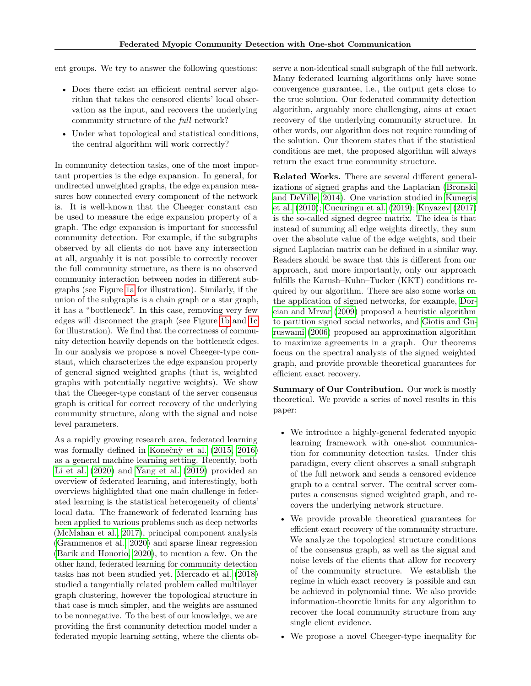ent groups. We try to answer the following questions:

- Does there exist an efficient central server algorithm that takes the censored clients' local observation as the input, and recovers the underlying community structure of the *full* network?
- Under what topological and statistical conditions, the central algorithm will work correctly?

In community detection tasks, one of the most important properties is the edge expansion. In general, for undirected unweighted graphs, the edge expansion measures how connected every component of the network is. It is well-known that the Cheeger constant can be used to measure the edge expansion property of a graph. The edge expansion is important for successful community detection. For example, if the subgraphs observed by all clients do not have any intersection at all, arguably it is not possible to correctly recover the full community structure, as there is no observed community interaction between nodes in different subgraphs (see Figure [1a](#page-2-0) for illustration). Similarly, if the union of the subgraphs is a chain graph or a star graph, it has a "bottleneck". In this case, removing very few edges will disconnect the graph (see Figure [1b](#page-2-0) and [1c](#page-2-0) for illustration). We find that the correctness of community detection heavily depends on the bottleneck edges. In our analysis we propose a novel Cheeger-type constant, which characterizes the edge expansion property of general signed weighted graphs (that is, weighted graphs with potentially negative weights). We show that the Cheeger-type constant of the server consensus graph is critical for correct recovery of the underlying community structure, along with the signal and noise level parameters.

As a rapidly growing research area, federated learning was formally defined in Konečný et al. (2015, [2016\)](#page-9-4) as a general machine learning setting. Recently, both [Li et al. \(2020\)](#page-9-6) and [Yang et al. \(2019\)](#page-9-7) provided an overview of federated learning, and interestingly, both overviews highlighted that one main challenge in federated learning is the statistical heterogeneity of clients' local data. The framework of federated learning has been applied to various problems such as deep networks [\(McMahan et al., 2017\)](#page-9-8), principal component analysis [\(Grammenos et al., 2020\)](#page-9-9) and sparse linear regression [\(Barik and Honorio, 2020\)](#page-8-0), to mention a few. On the other hand, federated learning for community detection tasks has not been studied yet. [Mercado et al. \(2018\)](#page-9-10) studied a tangentially related problem called multilayer graph clustering, however the topological structure in that case is much simpler, and the weights are assumed to be nonnegative. To the best of our knowledge, we are providing the first community detection model under a federated myopic learning setting, where the clients observe a non-identical small subgraph of the full network. Many federated learning algorithms only have some convergence guarantee, i.e., the output gets close to the true solution. Our federated community detection algorithm, arguably more challenging, aims at exact recovery of the underlying community structure. In other words, our algorithm does not require rounding of the solution. Our theorem states that if the statistical conditions are met, the proposed algorithm will always return the exact true community structure.

**Related Works.** There are several different generalizations of signed graphs and the Laplacian [\(Bronski](#page-8-1) [and DeVille, 2014\)](#page-8-1). One variation studied in [Kunegis](#page-9-11) [et al. \(2010\)](#page-9-11); [Cucuringu et al. \(2019\)](#page-9-12); [Knyazev \(2017\)](#page-9-13) is the so-called signed degree matrix. The idea is that instead of summing all edge weights directly, they sum over the absolute value of the edge weights, and their signed Laplacian matrix can be defined in a similar way. Readers should be aware that this is different from our approach, and more importantly, only our approach fulfills the Karush–Kuhn–Tucker (KKT) conditions required by our algorithm. There are also some works on the application of signed networks, for example, [Dor](#page-9-14)[eian and Mrvar \(2009\)](#page-9-14) proposed a heuristic algorithm to partition signed social networks, and [Giotis and Gu](#page-9-15)[ruswami \(2006\)](#page-9-15) proposed an approximation algorithm to maximize agreements in a graph. Our theorems focus on the spectral analysis of the signed weighted graph, and provide provable theoretical guarantees for efficient exact recovery.

**Summary of Our Contribution.** Our work is mostly theoretical. We provide a series of novel results in this paper:

- We introduce a highly-general federated myopic learning framework with one-shot communication for community detection tasks. Under this paradigm, every client observes a small subgraph of the full network and sends a censored evidence graph to a central server. The central server computes a consensus signed weighted graph, and recovers the underlying network structure.
- We provide provable theoretical guarantees for efficient exact recovery of the community structure. We analyze the topological structure conditions of the consensus graph, as well as the signal and noise levels of the clients that allow for recovery of the community structure. We establish the regime in which exact recovery is possible and can be achieved in polynomial time. We also provide information-theoretic limits for any algorithm to recover the local community structure from any single client evidence.
- We propose a novel Cheeger-type inequality for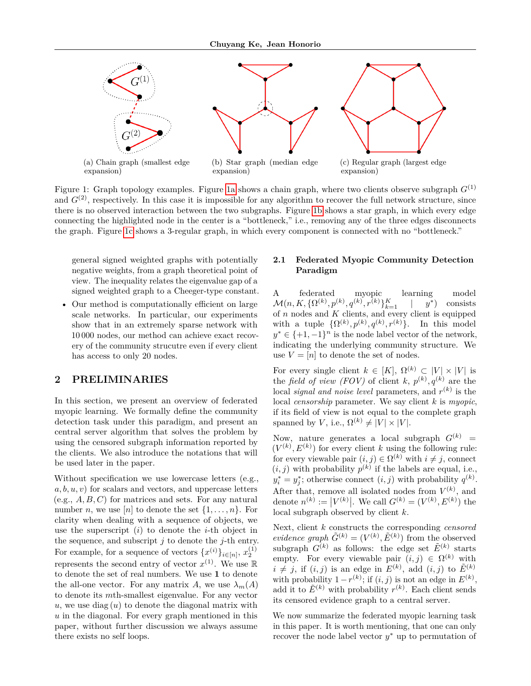<span id="page-2-0"></span>

Figure 1: Graph topology examples. Figure [1a](#page-2-0) shows a chain graph, where two clients observe subgraph  $G^{(1)}$ and  $G^{(2)}$ , respectively. In this case it is impossible for any algorithm to recover the full network structure, since there is no observed interaction between the two subgraphs. Figure [1b](#page-2-0) shows a star graph, in which every edge connecting the highlighted node in the center is a "bottleneck," i.e., removing any of the three edges disconnects the graph. Figure [1c](#page-2-0) shows a 3-regular graph, in which every component is connected with no "bottleneck."

general signed weighted graphs with potentially negative weights, from a graph theoretical point of view. The inequality relates the eigenvalue gap of a signed weighted graph to a Cheeger-type constant.

• Our method is computationally efficient on large scale networks. In particular, our experiments show that in an extremely sparse network with 10 000 nodes, our method can achieve exact recovery of the community strucutre even if every client has access to only 20 nodes.

### **2 PRELIMINARIES**

In this section, we present an overview of federated myopic learning. We formally define the community detection task under this paradigm, and present an central server algorithm that solves the problem by using the censored subgraph information reported by the clients. We also introduce the notations that will be used later in the paper.

Without specification we use lowercase letters (e.g., *a, b, u, v*) for scalars and vectors, and uppercase letters (e.g., *A, B, C*) for matrices and sets. For any natural number *n*, we use [*n*] to denote the set  $\{1, \ldots, n\}$ . For clarity when dealing with a sequence of objects, we use the superscript (*i*) to denote the *i*-th object in the sequence, and subscript *j* to denote the *j*-th entry. For example, for a sequence of vectors  $\{x^{(i)}\}_{i \in [n]}$ ,  $x_2^{(1)}$ represents the second entry of vector  $x^{(1)}$ . We use R to denote the set of real numbers. We use **1** to denote the all-one vector. For any matrix *A*, we use  $\lambda_m(A)$ to denote its *m*th-smallest eigenvalue. For any vector  $u$ , we use diag  $(u)$  to denote the diagonal matrix with *u* in the diagonal. For every graph mentioned in this paper, without further discussion we always assume there exists no self loops.

### **2.1 Federated Myopic Community Detection Paradigm**

A federated myopic learning model  $\mathcal{M}(n, K, \{\Omega^{(k)}, p^{(k)}, q^{(k)}, r^{(k)}\}_{k=1}^K$  | *y* ∗ ) consists of *n* nodes and *K* clients, and every client is equipped with a tuple  $\{\Omega^{(k)}, p^{(k)}, q^{(k)}, r^{(k)}\}$ . In this model  $y^* \in \{+1, -1\}^n$  is the node label vector of the network, indicating the underlying community structure. We use  $V = [n]$  to denote the set of nodes.

For every single client  $k \in [K]$ ,  $\Omega^{(k)} \subset |V| \times |V|$  is the *field of view (FOV)* of client *k*,  $p^{(k)}$ ,  $q^{(k)}$  are the local *signal and noise level* parameters, and *r* (*k*) is the local *censorship* parameter. We say client *k* is *myopic*, if its field of view is not equal to the complete graph spanned by *V*, i.e.,  $\Omega^{(k)} \neq |V| \times |V|$ .

Now, nature generates a local subgraph  $G^{(k)}$  =  $(V^{(k)}, E^{(k)})$  for every client *k* using the following rule: for every viewable pair  $(i, j) \in \Omega^{(k)}$  with  $i \neq j$ , connect  $(i, j)$  with probability  $p^{(k)}$  if the labels are equal, i.e.,  $y_i^* = y_j^*$ ; otherwise connect  $(i, j)$  with probability  $q^{(k)}$ . After that, remove all isolated nodes from  $V^{(k)}$ , and denote  $n^{(k)} := |V^{(k)}|$ . We call  $G^{(k)} = (V^{(k)}, E^{(k)})$  the local subgraph observed by client *k*.

Next, client *k* constructs the corresponding *censored evidence graph*  $\tilde{G}^{(k)} = (V^{(k)}, \tilde{E}^{(k)})$  from the observed subgraph  $G^{(k)}$  as follows: the edge set  $\tilde{E}^{(k)}$  starts empty. For every viewable pair  $(i, j) \in \Omega^{(k)}$  with  $i \neq j$ , if  $(i, j)$  is an edge in  $E^{(k)}$ , add  $(i, j)$  to  $\tilde{E}^{(k)}$ with probability  $1 - r^{(k)}$ ; if  $(i, j)$  is not an edge in  $E^{(k)}$ , add it to  $\tilde{E}^{(k)}$  with probability  $r^{(k)}$ . Each client sends its censored evidence graph to a central server.

We now summarize the federated myopic learning task in this paper. It is worth mentioning, that one can only recover the node label vector *y* <sup>∗</sup> up to permutation of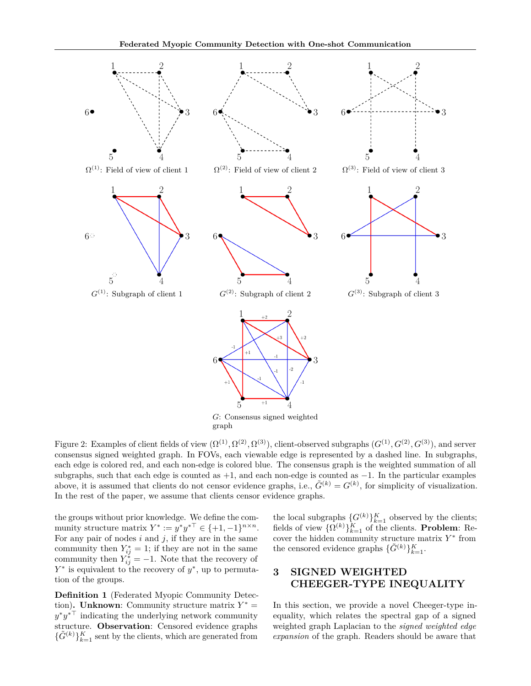<span id="page-3-0"></span>

graph

Figure 2: Examples of client fields of view  $(\Omega^{(1)}, \Omega^{(2)}, \Omega^{(3)})$ , client-observed subgraphs  $(G^{(1)}, G^{(2)}, G^{(3)})$ , and server consensus signed weighted graph. In FOVs, each viewable edge is represented by a dashed line. In subgraphs, each edge is colored red, and each non-edge is colored blue. The consensus graph is the weighted summation of all subgraphs, such that each edge is counted as  $+1$ , and each non-edge is counted as  $-1$ . In the particular examples above, it is assumed that clients do not censor evidence graphs, i.e.,  $\tilde{G}^{(k)} = G^{(k)}$ , for simplicity of visualization. In the rest of the paper, we assume that clients censor evidence graphs.

the groups without prior knowledge. We define the community structure matrix  $Y^* := y^* y^{*\top} \in \{+1, -1\}^{n \times n}$ . For any pair of nodes  $i$  and  $j$ , if they are in the same community then  $Y_{ij}^* = 1$ ; if they are not in the same community then  $Y_{ij}^* = -1$ . Note that the recovery of *Y*<sup>\*</sup> is equivalent to the recovery of *y*<sup>\*</sup>, up to permutation of the groups.

<span id="page-3-1"></span>**Definition 1** (Federated Myopic Community Detection). **Unknown**: Community structure matrix  $Y^* =$  $y^*y^{*\top}$  indicating the underlying network community structure. **Observation**: Censored evidence graphs  $\{\tilde{G}^{(k)}\}_{k=1}^K$  sent by the clients, which are generated from

the local subgraphs  $\{G^{(k)}\}_{k=1}^K$  observed by the clients; fields of view  $\{\Omega^{(k)}\}_{k=1}^K$  of the clients. **Problem**: Recover the hidden community structure matrix  $Y^*$  from the censored evidence graphs  $\{\tilde{G}^{(k)}\}_{k=1}^K$ .

# **3 SIGNED WEIGHTED CHEEGER-TYPE INEQUALITY**

In this section, we provide a novel Cheeger-type inequality, which relates the spectral gap of a signed weighted graph Laplacian to the *signed weighted edge expansion* of the graph. Readers should be aware that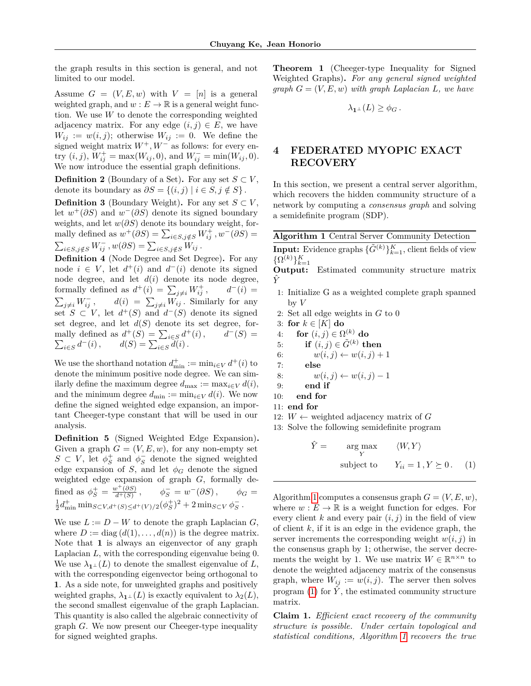the graph results in this section is general, and not limited to our model.

Assume  $G = (V, E, w)$  with  $V = [n]$  is a general weighted graph, and  $w : E \to \mathbb{R}$  is a general weight function. We use *W* to denote the corresponding weighted adjacency matrix. For any edge  $(i, j) \in E$ , we have  $W_{ij} := w(i, j)$ ; otherwise  $W_{ij} := 0$ . We define the signed weight matrix *W*<sup>+</sup>*, W*<sup>−</sup> as follows: for every en- $\text{try }(i, j), W^+_{ij} = \max(W_{ij}, 0), \text{ and } W^-_{ij} = \min(W_{ij}, 0).$ We now introduce the essential graph definitions.

**Definition 2** (Boundary of a Set). For any set  $S \subset V$ , denote its boundary as  $\partial S = \{(i, j) | i \in S, j \notin S\}$ .

**Definition 3** (Boundary Weight). For any set  $S \subset V$ , let  $w^+(\partial S)$  and  $w^-(\partial S)$  denote its signed boundary weights, and let *w*(*∂S*) denote its boundary weight, formally defined as  $w^+(\partial S) = \sum_{i \in S, j \notin S} W^+_{ij}$ ,  $w^-(\partial S) =$  $\sum_{i \in S, j \notin S} W_{ij}^-$ ,  $w(\partial S) = \sum_{i \in S, j \notin S} W_{ij}$ .

<span id="page-4-4"></span>**Definition 4** (Node Degree and Set Degree)**.** For any node  $i \in V$ , let  $d^+(i)$  and  $d^-(i)$  denote its signed node degree, and let  $d(i)$  denote its node degree, formally defined as  $d^+(i) = \sum_{j \neq i} W^+_{ij}$  $d^{-}(i) =$  $\sum_{j\neq i} W_{ij}^$  $i_j$ <sup>*i*</sup>,  $d(i) = \sum_{j \neq i} W_{ij}$ . Similarly for any set  $S \subset V$ , let  $d^+(S)$  and  $d^-(S)$  denote its signed set degree, and let  $d(S)$  denote its set degree, formally defined as  $d^+(S) = \sum_{i \in S} d^+(i)$ ,  $d^ \sum_{i \in S} d^{-}(i)$ ,  $d(S) = \sum_{i \in S} d(i)$ .  $d^-(S) =$ 

We use the shorthand notation  $d_{\min}^+ := \min_{i \in V} d^+(i)$  to denote the minimum positive node degree. We can similarly define the maximum degree  $d_{\text{max}} := \max_{i \in V} d(i)$ , and the minimum degree  $d_{\min} := \min_{i \in V} d(i)$ . We now define the signed weighted edge expansion, an important Cheeger-type constant that will be used in our analysis.

<span id="page-4-2"></span>**Definition 5** (Signed Weighted Edge Expansion)**.** Given a graph  $G = (V, E, w)$ , for any non-empty set  $S \subset V$ , let  $\phi_S^+$  and  $\phi_S^-$  denote the signed weighted edge expansion of *S*, and let  $\phi_G$  denote the signed weighted edge expansion of graph *G*, formally defined as  $\phi_S^+ = \frac{w^+(\partial S)}{d^+(S)}$  $\frac{\partial v^+(\partial S)}{\partial f^+(S)}$ ,  $\phi_S^- = w^-(\partial S)$ ,  $\phi_G =$  $\frac{1}{2}d_{\min}^+ \min_{S \subset V, d^+(S) \leq d^+(V)/2} (\phi_S^+)^2 + 2 \min_{S \subset V} \phi_S^-$ .

We use  $L := D - W$  to denote the graph Laplacian *G*, where  $D := diag(d(1), \ldots, d(n))$  is the degree matrix. Note that **1** is always an eigenvector of any graph Laplacian *L*, with the corresponding eigenvalue being 0. We use  $\lambda_1 \perp (L)$  to denote the smallest eigenvalue of L, with the corresponding eigenvector being orthogonal to **1**. As a side note, for unweighted graphs and positively weighted graphs,  $\lambda_1 \perp (L)$  is exactly equivalent to  $\lambda_2(L)$ , the second smallest eigenvalue of the graph Laplacian. This quantity is also called the algebraic connectivity of graph *G*. We now present our Cheeger-type inequality for signed weighted graphs.

<span id="page-4-3"></span>**Theorem 1** (Cheeger-type Inequality for Signed Weighted Graphs)**.** *For any general signed weighted graph G* = (*V, E, w*) *with graph Laplacian L, we have*

$$
\lambda_{\mathbf{1}^\perp}(L) \ge \phi_G.
$$

# **4 FEDERATED MYOPIC EXACT RECOVERY**

In this section, we present a central server algorithm, which recovers the hidden community structure of a network by computing a *consensus graph* and solving a semidefinite program (SDP).

<span id="page-4-0"></span>

|  |  |  |  | <b>Algorithm 1</b> Central Server Community Detection |  |  |  |
|--|--|--|--|-------------------------------------------------------|--|--|--|
|  |  |  |  |                                                       |  |  |  |

**Input:** Evidence graphs  $\{\tilde{G}^{(k)}\}_{k=1}^K$ , client fields of view  $\{\Omega^{(k)}\}_{k=1}^K$ 

**Output:** Estimated community structure matrix *Y*ˆ

- 1: Initialize G as a weighted complete graph spanned by *V*
- 2: Set all edge weights in *G* to 0
- 3: for  $k \in [K]$  do
- $4:$  **for**  $(i, j) \in \Omega^{(k)}$  **do**
- 5: **if**  $(i, j) \in \tilde{G}^{(k)}$  then
- 6:  $w(i, j) \leftarrow w(i, j) + 1$
- 7: **else**

8: 
$$
w(i,j) \leftarrow w(i,j) - 1
$$

- 9: **end if**
- 10: **end for**
- 11: **end for**
- 12:  $W \leftarrow$  weighted adjacency matrix of *G*
- 13: Solve the following semidefinite program

<span id="page-4-1"></span>
$$
\hat{Y} = \underset{Y}{\arg \max} \quad \langle W, Y \rangle
$$
\n
$$
\text{subject to} \quad Y_{ii} = 1, Y \succeq 0. \quad (1)
$$

Algorithm [1](#page-4-0) computes a consensus graph  $G = (V, E, w)$ , where  $w : E \to \mathbb{R}$  is a weight function for edges. For every client  $k$  and every pair  $(i, j)$  in the field of view of client *k*, if it is an edge in the evidence graph, the server increments the corresponding weight  $w(i, j)$  in the consensus graph by 1; otherwise, the server decrements the weight by 1. We use matrix  $W \in \mathbb{R}^{n \times n}$  to denote the weighted adjacency matrix of the consensus graph, where  $W_{ij} := w(i, j)$ . The server then solves program [\(1\)](#page-4-1) for  $\hat{Y}$ , the estimated community structure matrix.

**Claim 1.** *Efficient exact recovery of the community structure is possible. Under certain topological and statistical conditions, Algorithm [1](#page-4-0) recovers the true*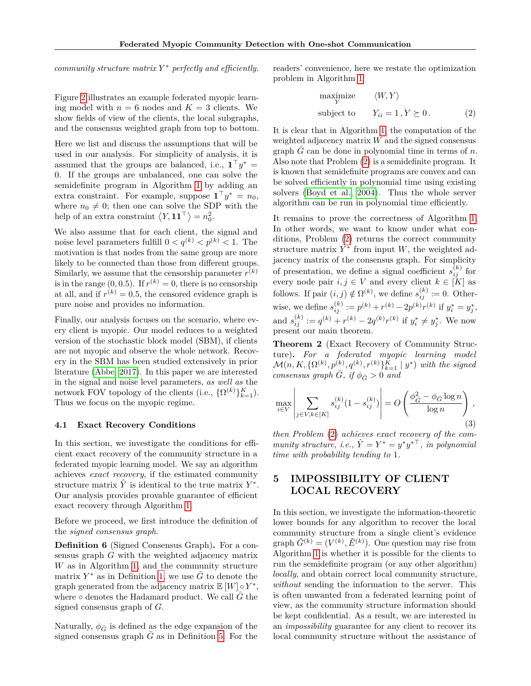*community structure matrix Y* <sup>∗</sup> *perfectly and efficiently.*

Figure [2](#page-3-0) illustrates an example federated myopic learning model with  $n = 6$  nodes and  $K = 3$  clients. We show fields of view of the clients, the local subgraphs, and the consensus weighted graph from top to bottom.

Here we list and discuss the assumptions that will be used in our analysis. For simplicity of analysis, it is assumed that the groups are balanced, i.e.,  $\mathbf{1}^\top y^* =$ 0. If the groups are unbalanced, one can solve the semidefinite program in Algorithm [1](#page-4-0) by adding an extra constraint. For example, suppose  $\mathbf{1}^\top y^* = n_0$ , where  $n_0 \neq 0$ ; then one can solve the SDP with the help of an extra constraint  $\langle Y, \mathbf{11}^\top \rangle = n_0^2$ .

We also assume that for each client, the signal and noise level parameters fulfill  $0 < q^{(k)} < p^{(k)} < 1$ . The motivation is that nodes from the same group are more likely to be connected than those from different groups. Similarly, we assume that the censorship parameter  $r^{(k)}$ is in the range  $(0, 0.5)$ . If  $r^{(k)} = 0$ , there is no censorship at all, and if  $r^{(k)} = 0.5$ , the censored evidence graph is pure noise and provides no information.

Finally, our analysis focuses on the scenario, where every client is myopic. Our model reduces to a weighted version of the stochastic block model (SBM), if clients are not myopic and observe the whole network. Recovery in the SBM has been studied extensively in prior literature [\(Abbe, 2017\)](#page-8-2). In this paper we are interested in the signal and noise level parameters, *as well as* the network FOV topology of the clients (i.e.,  $\{\Omega^{(k)}\}_{k=1}^K$ ). Thus we focus on the myopic regime.

### **4.1 Exact Recovery Conditions**

In this section, we investigate the conditions for efficient exact recovery of the community structure in a federated myopic learning model. We say an algorithm achieves *exact recovery*, if the estimated community structure matrix  $\hat{Y}$  is identical to the true matrix  $Y^*$ . Our analysis provides provable guarantee of efficient exact recovery through Algorithm [1.](#page-4-0)

Before we proceed, we first introduce the definition of the *signed consensus graph*.

<span id="page-5-2"></span>**Definition 6** (Signed Consensus Graph)**.** For a consensus graph *G* with the weighted adjacency matrix *W* as in Algorithm [1,](#page-4-0) and the community structure matrix  $Y^*$  as in Definition [1,](#page-3-1) we use  $\bar{G}$  to denote the graph generated from the adjacency matrix  $\mathbb{E}[W] \circ Y^*$ , where  $\circ$  denotes the Hadamard product. We call  $\bar{G}$  the signed consensus graph of *G*.

Naturally,  $\phi_{\bar{G}}$  is defined as the edge expansion of the signed consensus graph  $G$  as in Definition [5.](#page-4-2) For the readers' convenience, here we restate the optimization problem in Algorithm [1:](#page-4-0)

<span id="page-5-0"></span>
$$
\begin{array}{ll}\n\text{maximize} & \langle W, Y \rangle \\
\text{subject to} & Y_{ii} = 1, Y \succeq 0. \tag{2}\n\end{array}
$$

It is clear that in Algorithm [1,](#page-4-0) the computation of the weighted adjacency matrix *W* and the signed consensus graph  $G$  can be done in polynomial time in terms of  $n$ . Also note that Problem [\(2\)](#page-5-0) is a semidefinite program. It is known that semidefinite programs are convex and can be solved efficiently in polynomial time using existing solvers [\(Boyd et al., 2004\)](#page-8-3). Thus the whole server algorithm can be run in polynomial time efficiently.

It remains to prove the correctness of Algorithm [1.](#page-4-0) In other words, we want to know under what conditions, Problem [\(2\)](#page-5-0) returns the correct community structure matrix  $Y^*$  from input  $W$ , the weighted adjacency matrix of the consensus graph. For simplicity of presentation, we define a signal coefficient  $s_{ij}^{(k)}$  for every node pair  $i, j \in V$  and every client  $k \in [K]$  as follows. If pair  $(i, j) \notin \Omega^{(k)}$ , we define  $s_{ij}^{(k)} := 0$ . Otherwise, we define  $s_{ij}^{(k)} := p^{(k)} + r^{(k)} - 2p^{(k)}r^{(k)}$  if  $y_i^* = y_j^*$ , and  $s_{ij}^{(k)} := q^{(k)} + r^{(k)} - 2q^{(k)}r^{(k)}$  if  $y_i^* \neq y_j^*$ . We now present our main theorem.

**Theorem 2** (Exact Recovery of Community Structure)**.** *For a federated myopic learning model*  $\mathcal{M}(n, K, \{\Omega^{(k)}, p^{(k)}, q^{(k)}, r^{(k)}\}_{k=1}^K \mid y^*)$  *with the signed consensus graph G*, if  $\phi_{\bar{G}} > 0$  *and* 

<span id="page-5-1"></span>
$$
\max_{i \in V} \left| \sum_{j \in V, k \in [K]} s_{ij}^{(k)} (1 - s_{ij}^{(k)}) \right| = O\left(\frac{\phi_{\tilde{G}}^2 - \phi_{\tilde{G}} \log n}{\log n}\right),\tag{3}
$$

*then Problem* [\(2\)](#page-5-0) *achieves exact recovery of the com* $munity$  structure, *i.e.*,  $\hat{Y} = Y^* = y^*y^{*\top}$ , *in polynomial time with probability tending to* 1*.*

# **5 IMPOSSIBILITY OF CLIENT LOCAL RECOVERY**

In this section, we investigate the information-theoretic lower bounds for any algorithm to recover the local community structure from a single client's evidence graph  $\tilde{G}^{(k)} = (V^{(k)}, \tilde{E}^{(k)})$ . One question may rise from Algorithm [1](#page-4-0) is whether it is possible for the clients to run the semidefinite program (or any other algorithm) *locally*, and obtain correct local community structure, *without* sending the information to the server. This is often unwanted from a federated learning point of view, as the community structure information should be kept confidential. As a result, we are interested in an *impossibility* guarantee for any client to recover its local community structure without the assistance of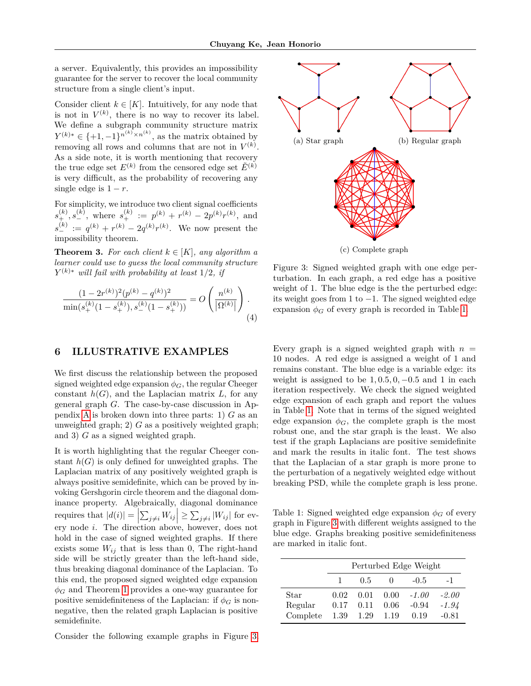a server. Equivalently, this provides an impossibility guarantee for the server to recover the local community structure from a single client's input.

Consider client  $k \in [K]$ . Intuitively, for any node that is not in  $V^{(k)}$ , there is no way to recover its label. We define a subgraph community structure matrix  $Y^{(k)*} \in \{+1, -1\}^{n^{(k)} \times n^{(k)}},$  as the matrix obtained by removing all rows and columns that are not in  $V^{(k)}$ . As a side note, it is worth mentioning that recovery the true edge set  $E^{(k)}$  from the censored edge set  $\tilde{E}^{(k)}$ is very difficult, as the probability of recovering any single edge is  $1 - r$ .

For simplicity, we introduce two client signal coefficients  $s_+^{(k)}, s_-^{(k)}$ , where  $s_+^{(k)} := p^{(k)} + r^{(k)} - 2p^{(k)}r^{(k)}$ , and  $s_{-}^{(k)} := q^{(k)} + r^{(k)} - 2q^{(k)}r^{(k)}$ . We now present the impossibility theorem.

**Theorem 3.** *For each client*  $k \in [K]$ *, any algorithm a learner could use to guess the local community structure Y* (*k*)<sup>∗</sup> *will fail with probability at least* 1*/*2*, if*

<span id="page-6-3"></span>
$$
\frac{(1 - 2r^{(k)})^2 (p^{(k)} - q^{(k)})^2}{\min(s_+^{(k)}(1 - s_+^{(k)}), s_-^{(k)}(1 - s_+^{(k)}))} = O\left(\frac{n^{(k)}}{|\Omega^{(k)}|}\right).
$$
\n(4)

# <span id="page-6-2"></span>**6 ILLUSTRATIVE EXAMPLES**

We first discuss the relationship between the proposed signed weighted edge expansion  $\phi_G$ , the regular Cheeger constant  $h(G)$ , and the Laplacian matrix  $L$ , for any general graph *G*. The case-by-case discussion in Appendix [A](#page-10-0) is broken down into three parts: 1) *G* as an unweighted graph; 2)  $G$  as a positively weighted graph; and 3) *G* as a signed weighted graph.

It is worth highlighting that the regular Cheeger constant  $h(G)$  is only defined for unweighted graphs. The Laplacian matrix of any positively weighted graph is always positive semidefinite, which can be proved by invoking Gershgorin circle theorem and the diagonal dominance property. Algebraically, diagonal dominance requires that  $|d(i)| = \left| \sum_{j \neq i} W_{ij} \right| \geq \sum_{j \neq i} |W_{ij}|$  for every node *i*. The direction above, however, does not hold in the case of signed weighted graphs. If there exists some  $W_{ij}$  that is less than 0, The right-hand side will be strictly greater than the left-hand side, thus breaking diagonal dominance of the Laplacian. To this end, the proposed signed weighted edge expansion  $\phi_G$  and Theorem [1](#page-4-3) provides a one-way guarantee for positive semidefiniteness of the Laplacian: if  $\phi_G$  is nonnegative, then the related graph Laplacian is positive semidefinite.

Consider the following example graphs in Figure [3.](#page-6-0)

<span id="page-6-0"></span>

Figure 3: Signed weighted graph with one edge perturbation. In each graph, a red edge has a positive weight of 1. The blue edge is the the perturbed edge: its weight goes from 1 to −1. The signed weighted edge expansion  $\phi_G$  of every graph is recorded in Table [1.](#page-6-1)

Every graph is a signed weighted graph with  $n =$ 10 nodes. A red edge is assigned a weight of 1 and remains constant. The blue edge is a variable edge: its weight is assigned to be  $1, 0.5, 0, -0.5$  and 1 in each iteration respectively. We check the signed weighted edge expansion of each graph and report the values in Table [1.](#page-6-1) Note that in terms of the signed weighted edge expansion  $\phi_G$ , the complete graph is the most robust one, and the star graph is the least. We also test if the graph Laplacians are positive semidefinite and mark the results in italic font. The test shows that the Laplacian of a star graph is more prone to the perturbation of a negatively weighted edge without breaking PSD, while the complete graph is less prone.

<span id="page-6-1"></span>Table 1: Signed weighted edge expansion  $\phi_G$  of every graph in Figure [3](#page-6-0) with different weights assigned to the blue edge. Graphs breaking positive semidefiniteness are marked in italic font.

|          | Perturbed Edge Weight |           |              |         |         |  |  |
|----------|-----------------------|-----------|--------------|---------|---------|--|--|
|          |                       | 0.5       | $\mathbf{0}$ | $-0.5$  | $-1$    |  |  |
| Star     | 0.02                  | 0.01      | $-0.00$      | $-1.00$ | $-2.00$ |  |  |
| Regular  | 0.17                  | 0.11      | 0.06         | $-0.94$ | $-1.94$ |  |  |
| Complete |                       | 1.39 1.29 | 1.19         | 0.19    | $-0.81$ |  |  |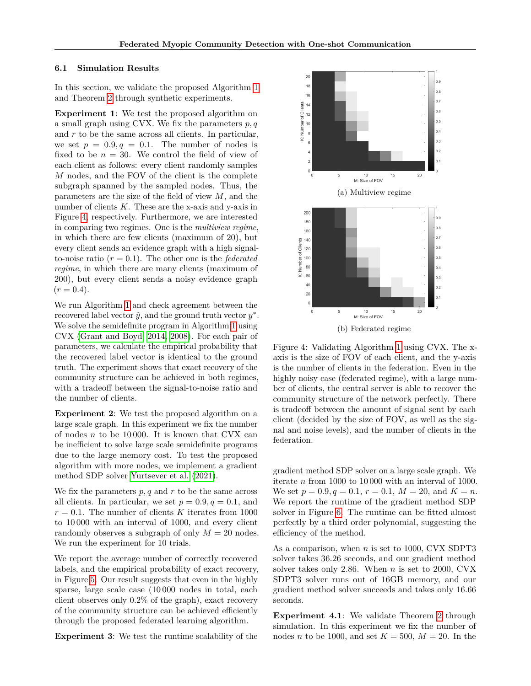#### **6.1 Simulation Results**

In this section, we validate the proposed Algorithm [1](#page-4-0) and Theorem [2](#page-5-1) through synthetic experiments.

**Experiment 1**: We test the proposed algorithm on a small graph using CVX. We fix the parameters *p, q* and *r* to be the same across all clients. In particular, we set  $p = 0.9, q = 0.1$ . The number of nodes is fixed to be  $n = 30$ . We control the field of view of each client as follows: every client randomly samples *M* nodes, and the FOV of the client is the complete subgraph spanned by the sampled nodes. Thus, the parameters are the size of the field of view *M*, and the number of clients *K*. These are the x-axis and y-axis in Figure [4,](#page-7-0) respectively. Furthermore, we are interested in comparing two regimes. One is the *multiview regime*, in which there are few clients (maximum of 20), but every client sends an evidence graph with a high signalto-noise ratio  $(r = 0.1)$ . The other one is the *federated regime*, in which there are many clients (maximum of 200), but every client sends a noisy evidence graph  $(r = 0.4).$ 

We run Algorithm [1](#page-4-0) and check agreement between the recovered label vector  $\hat{y}$ , and the ground truth vector  $y^*$ . We solve the semidefinite program in Algorithm [1](#page-4-0) using CVX [\(Grant and Boyd, 2014,](#page-9-16) [2008\)](#page-9-17). For each pair of parameters, we calculate the empirical probability that the recovered label vector is identical to the ground truth. The experiment shows that exact recovery of the community structure can be achieved in both regimes, with a tradeoff between the signal-to-noise ratio and the number of clients.

**Experiment 2**: We test the proposed algorithm on a large scale graph. In this experiment we fix the number of nodes *n* to be 10 000. It is known that CVX can be inefficient to solve large scale semidefinite programs due to the large memory cost. To test the proposed algorithm with more nodes, we implement a gradient method SDP solver [Yurtsever et al. \(2021\)](#page-9-18).

We fix the parameters  $p, q$  and  $r$  to be the same across all clients. In particular, we set  $p = 0.9, q = 0.1$ , and  $r = 0.1$ . The number of clients *K* iterates from 1000 to 10 000 with an interval of 1000, and every client randomly observes a subgraph of only  $M = 20$  nodes. We run the experiment for 10 trials.

We report the average number of correctly recovered labels, and the empirical probability of exact recovery, in Figure [5.](#page-8-4) Our result suggests that even in the highly sparse, large scale case (10 000 nodes in total, each client observes only 0*.*2% of the graph), exact recovery of the community structure can be achieved efficiently through the proposed federated learning algorithm.

**Experiment 3**: We test the runtime scalability of the

<span id="page-7-0"></span>

Figure 4: Validating Algorithm [1](#page-4-0) using CVX. The xaxis is the size of FOV of each client, and the y-axis is the number of clients in the federation. Even in the highly noisy case (federated regime), with a large number of clients, the central server is able to recover the community structure of the network perfectly. There is tradeoff between the amount of signal sent by each client (decided by the size of FOV, as well as the signal and noise levels), and the number of clients in the federation.

gradient method SDP solver on a large scale graph. We iterate *n* from 1000 to 10 000 with an interval of 1000. We set  $p = 0.9, q = 0.1, r = 0.1, M = 20, \text{ and } K = n$ . We report the runtime of the gradient method SDP solver in Figure [6.](#page-8-5) The runtime can be fitted almost perfectly by a third order polynomial, suggesting the efficiency of the method.

As a comparison, when *n* is set to 1000, CVX SDPT3 solver takes 36.26 seconds, and our gradient method solver takes only 2.86. When *n* is set to 2000, CVX SDPT3 solver runs out of 16GB memory, and our gradient method solver succeeds and takes only 16.66 seconds.

**Experiment 4.1**: We validate Theorem [2](#page-5-1) through simulation. In this experiment we fix the number of nodes *n* to be 1000, and set  $K = 500$ ,  $M = 20$ . In the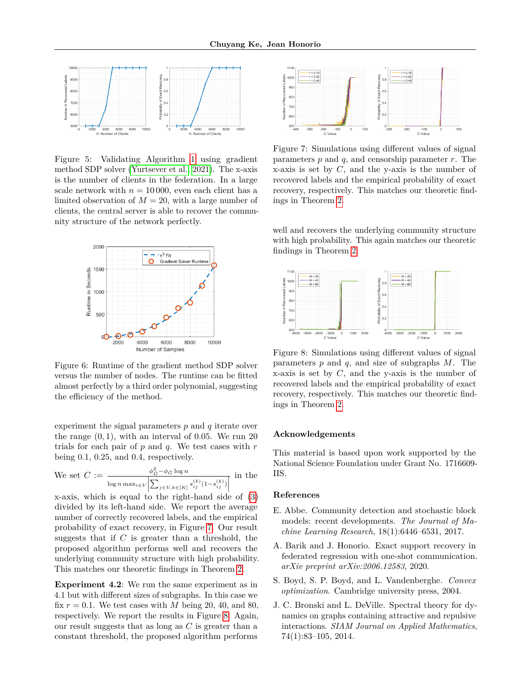<span id="page-8-4"></span>

Figure 5: Validating Algorithm [1](#page-4-0) using gradient method SDP solver [\(Yurtsever et al., 2021\)](#page-9-18). The x-axis is the number of clients in the federation. In a large scale network with  $n = 10000$ , even each client has a limited observation of  $M = 20$ , with a large number of clients, the central server is able to recover the community structure of the network perfectly.

<span id="page-8-5"></span>

Figure 6: Runtime of the gradient method SDP solver versus the number of nodes. The runtime can be fitted almost perfectly by a third order polynomial, suggesting the efficiency of the method.

experiment the signal parameters *p* and *q* iterate over the range (0*,* 1), with an interval of 0*.*05. We run 20 trials for each pair of *p* and *q*. We test cases with *r* being 0*.*1, 0*.*25, and 0*.*4, respectively.

We set 
$$
C := \frac{\phi_G^2 - \phi_{\bar{G}} \log n}{\log n \max_{i \in V} |\sum_{j \in V, k \in [K]} s_{ij}^{(k)} (1 - s_{ij}^{(k)})|}
$$
 in the

x-axis, which is equal to the right-hand side of [\(3\)](#page-5-1) divided by its left-hand side. We report the average number of correctly recovered labels, and the empirical probability of exact recovery, in Figure [7.](#page-8-6) Our result suggests that if *C* is greater than a threshold, the proposed algorithm performs well and recovers the underlying community structure with high probability. This matches our theoretic findings in Theorem [2.](#page-5-1)

**Experiment 4.2**: We run the same experiment as in 4.1 but with different sizes of subgraphs. In this case we fix  $r = 0.1$ . We test cases with *M* being 20, 40, and 80, respectively. We report the results in Figure [8.](#page-8-7) Again, our result suggests that as long as *C* is greater than a constant threshold, the proposed algorithm performs

<span id="page-8-6"></span>

Figure 7: Simulations using different values of signal parameters *p* and *q*, and censorship parameter *r*. The x-axis is set by *C*, and the y-axis is the number of recovered labels and the empirical probability of exact recovery, respectively. This matches our theoretic findings in Theorem [2.](#page-5-1)

well and recovers the underlying community structure with high probability. This again matches our theoretic findings in Theorem [2.](#page-5-1)

<span id="page-8-7"></span>

Figure 8: Simulations using different values of signal parameters *p* and *q*, and size of subgraphs *M*. The x-axis is set by *C*, and the y-axis is the number of recovered labels and the empirical probability of exact recovery, respectively. This matches our theoretic findings in Theorem [2.](#page-5-1)

### **Acknowledgements**

This material is based upon work supported by the National Science Foundation under Grant No. 1716609- IIS.

#### **References**

- <span id="page-8-2"></span>E. Abbe. Community detection and stochastic block models: recent developments. *The Journal of Machine Learning Research*, 18(1):6446–6531, 2017.
- <span id="page-8-0"></span>A. Barik and J. Honorio. Exact support recovery in federated regression with one-shot communication. *arXiv preprint arXiv:2006.12583*, 2020.
- <span id="page-8-3"></span>S. Boyd, S. P. Boyd, and L. Vandenberghe. *Convex optimization*. Cambridge university press, 2004.
- <span id="page-8-1"></span>J. C. Bronski and L. DeVille. Spectral theory for dynamics on graphs containing attractive and repulsive interactions. *SIAM Journal on Applied Mathematics*, 74(1):83–105, 2014.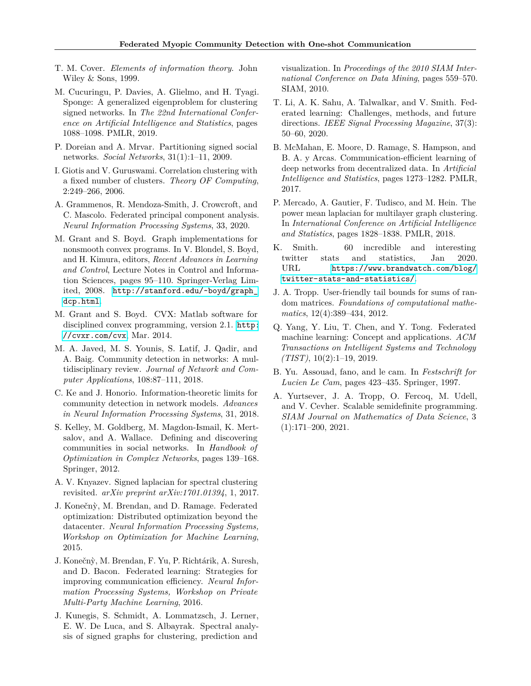- <span id="page-9-20"></span>T. M. Cover. *Elements of information theory*. John Wiley & Sons, 1999.
- <span id="page-9-12"></span>M. Cucuringu, P. Davies, A. Glielmo, and H. Tyagi. Sponge: A generalized eigenproblem for clustering signed networks. In *The 22nd International Conference on Artificial Intelligence and Statistics*, pages 1088–1098. PMLR, 2019.
- <span id="page-9-14"></span>P. Doreian and A. Mrvar. Partitioning signed social networks. *Social Networks*, 31(1):1–11, 2009.
- <span id="page-9-15"></span>I. Giotis and V. Guruswami. Correlation clustering with a fixed number of clusters. *Theory OF Computing*, 2:249–266, 2006.
- <span id="page-9-9"></span>A. Grammenos, R. Mendoza-Smith, J. Crowcroft, and C. Mascolo. Federated principal component analysis. *Neural Information Processing Systems*, 33, 2020.
- <span id="page-9-17"></span>M. Grant and S. Boyd. Graph implementations for nonsmooth convex programs. In V. Blondel, S. Boyd, and H. Kimura, editors, *Recent Advances in Learning and Control*, Lecture Notes in Control and Information Sciences, pages 95–110. Springer-Verlag Limited, 2008. [http://stanford.edu/~boyd/graph\\_](http://stanford.edu/~boyd/graph_dcp.html) [dcp.html](http://stanford.edu/~boyd/graph_dcp.html).
- <span id="page-9-16"></span>M. Grant and S. Boyd. CVX: Matlab software for disciplined convex programming, version 2.1. [http:](http://cvxr.com/cvx) [//cvxr.com/cvx](http://cvxr.com/cvx), Mar. 2014.
- <span id="page-9-0"></span>M. A. Javed, M. S. Younis, S. Latif, J. Qadir, and A. Baig. Community detection in networks: A multidisciplinary review. *Journal of Network and Computer Applications*, 108:87–111, 2018.
- <span id="page-9-2"></span>C. Ke and J. Honorio. Information-theoretic limits for community detection in network models. *Advances in Neural Information Processing Systems*, 31, 2018.
- <span id="page-9-1"></span>S. Kelley, M. Goldberg, M. Magdon-Ismail, K. Mertsalov, and A. Wallace. Defining and discovering communities in social networks. In *Handbook of Optimization in Complex Networks*, pages 139–168. Springer, 2012.
- <span id="page-9-13"></span>A. V. Knyazev. Signed laplacian for spectral clustering revisited. *arXiv preprint arXiv:1701.01394*, 1, 2017.
- <span id="page-9-5"></span>J. Konečn`y, M. Brendan, and D. Ramage. Federated optimization: Distributed optimization beyond the datacenter. *Neural Information Processing Systems, Workshop on Optimization for Machine Learning*, 2015.
- <span id="page-9-4"></span>J. Konečn`y, M. Brendan, F. Yu, P. Richtárik, A. Suresh, and D. Bacon. Federated learning: Strategies for improving communication efficiency. *Neural Information Processing Systems, Workshop on Private Multi-Party Machine Learning*, 2016.
- <span id="page-9-11"></span>J. Kunegis, S. Schmidt, A. Lommatzsch, J. Lerner, E. W. De Luca, and S. Albayrak. Spectral analysis of signed graphs for clustering, prediction and

visualization. In *Proceedings of the 2010 SIAM International Conference on Data Mining*, pages 559–570. SIAM, 2010.

- <span id="page-9-6"></span>T. Li, A. K. Sahu, A. Talwalkar, and V. Smith. Federated learning: Challenges, methods, and future directions. *IEEE Signal Processing Magazine*, 37(3): 50–60, 2020.
- <span id="page-9-8"></span>B. McMahan, E. Moore, D. Ramage, S. Hampson, and B. A. y Arcas. Communication-efficient learning of deep networks from decentralized data. In *Artificial Intelligence and Statistics*, pages 1273–1282. PMLR, 2017.
- <span id="page-9-10"></span>P. Mercado, A. Gautier, F. Tudisco, and M. Hein. The power mean laplacian for multilayer graph clustering. In *International Conference on Artificial Intelligence and Statistics*, pages 1828–1838. PMLR, 2018.
- <span id="page-9-3"></span>K. Smith. 60 incredible and interesting twitter stats and statistics, Jan 2020. URL [https://www.brandwatch.com/blog/](https://www.brandwatch.com/blog/twitter-stats-and-statistics/) [twitter-stats-and-statistics/](https://www.brandwatch.com/blog/twitter-stats-and-statistics/).
- <span id="page-9-19"></span>J. A. Tropp. User-friendly tail bounds for sums of random matrices. *Foundations of computational mathematics*, 12(4):389–434, 2012.
- <span id="page-9-7"></span>Q. Yang, Y. Liu, T. Chen, and Y. Tong. Federated machine learning: Concept and applications. *ACM Transactions on Intelligent Systems and Technology (TIST)*, 10(2):1–19, 2019.
- <span id="page-9-21"></span>B. Yu. Assouad, fano, and le cam. In *Festschrift for Lucien Le Cam*, pages 423–435. Springer, 1997.
- <span id="page-9-18"></span>A. Yurtsever, J. A. Tropp, O. Fercoq, M. Udell, and V. Cevher. Scalable semidefinite programming. *SIAM Journal on Mathematics of Data Science*, 3 (1):171–200, 2021.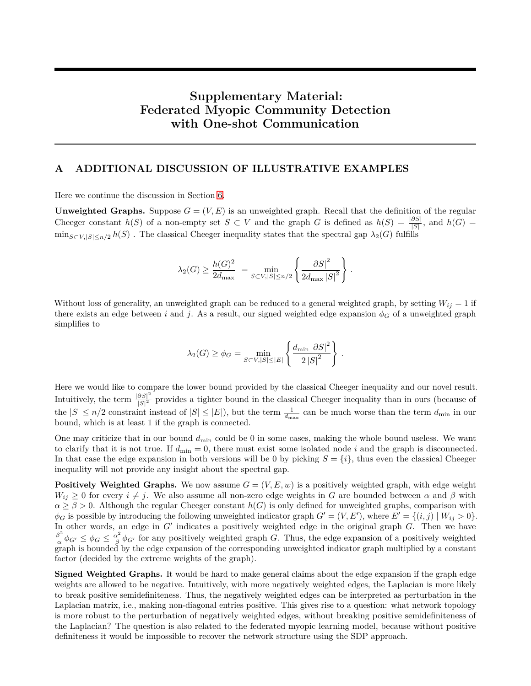# **Supplementary Material: Federated Myopic Community Detection with One-shot Communication**

# <span id="page-10-0"></span>**A ADDITIONAL DISCUSSION OF ILLUSTRATIVE EXAMPLES**

Here we continue the discussion in Section [6.](#page-6-2)

**Unweighted Graphs.** Suppose  $G = (V, E)$  is an unweighted graph. Recall that the definition of the regular Cheeger constant *h*(*S*) of a non-empty set  $S \subset V$  and the graph *G* is defined as  $h(S) = \frac{|\partial S|}{|S|}$ , and  $h(G) =$  $\min_{S \subset V, |S| \le n/2} h(S)$ . The classical Cheeger inequality states that the spectral gap  $\lambda_2(G)$  fulfills

$$
\lambda_2(G) \ge \frac{h(G)^2}{2d_{\max}} = \min_{S \subset V, |S| \le n/2} \left\{ \frac{|\partial S|^2}{2d_{\max} |S|^2} \right\}.
$$

Without loss of generality, an unweighted graph can be reduced to a general weighted graph, by setting  $W_{ij} = 1$  if there exists an edge between *i* and *j*. As a result, our signed weighted edge expansion  $\phi_G$  of a unweighted graph simplifies to

$$
\lambda_2(G) \ge \phi_G = \min_{S \subset V, |S| \le |E|} \left\{ \frac{d_{\min} |\partial S|^2}{2|S|^2} \right\}.
$$

Here we would like to compare the lower bound provided by the classical Cheeger inequality and our novel result. Intuitively, the term  $\frac{|\partial S|^2}{|S|^2}$  $\frac{\partial S}{\partial |S|^2}$  provides a tighter bound in the classical Cheeger inequality than in ours (because of the  $|S| \le n/2$  constraint instead of  $|S| \le |E|$ , but the term  $\frac{1}{d_{\text{max}}}$  can be much worse than the term  $d_{\text{min}}$  in our bound, which is at least 1 if the graph is connected.

One may criticize that in our bound  $d_{\min}$  could be 0 in some cases, making the whole bound useless. We want to clarify that it is not true. If  $d_{\text{min}} = 0$ , there must exist some isolated node *i* and the graph is disconnected. In that case the edge expansion in both versions will be 0 by picking  $S = \{i\}$ , thus even the classical Cheeger inequality will not provide any insight about the spectral gap.

**Positively Weighted Graphs.** We now assume  $G = (V, E, w)$  is a positively weighted graph, with edge weight  $W_{ij} \geq 0$  for every  $i \neq j$ . We also assume all non-zero edge weights in *G* are bounded between  $\alpha$  and  $\beta$  with  $\alpha \geq \beta > 0$ . Although the regular Cheeger constant  $h(G)$  is only defined for unweighted graphs, comparison with  $\phi_G$  is possible by introducing the following unweighted indicator graph  $G' = (V, E')$ , where  $E' = \{(i, j) | W_{ij} > 0\}$ . In other words, an edge in  $G'$  indicates a positively weighted edge in the original graph  $G$ . Then we have *β* 2 *α*<sup>2</sup></sup> $\phi$ <sup>*G*</sup> ≤  $\phi$ <sup>*G*</sup> ≤  $\frac{\alpha^2}{\beta}$  $\frac{\alpha^2}{\beta}\phi_{G'}$  for any positively weighted graph *G*. Thus, the edge expansion of a positively weighted graph is bounded by the edge expansion of the corresponding unweighted indicator graph multiplied by a constant factor (decided by the extreme weights of the graph).

**Signed Weighted Graphs.** It would be hard to make general claims about the edge expansion if the graph edge weights are allowed to be negative. Intuitively, with more negatively weighted edges, the Laplacian is more likely to break positive semidefiniteness. Thus, the negatively weighted edges can be interpreted as perturbation in the Laplacian matrix, i.e., making non-diagonal entries positive. This gives rise to a question: what network topology is more robust to the perturbation of negatively weighted edges, without breaking positive semidefiniteness of the Laplacian? The question is also related to the federated myopic learning model, because without positive definiteness it would be impossible to recover the network structure using the SDP approach.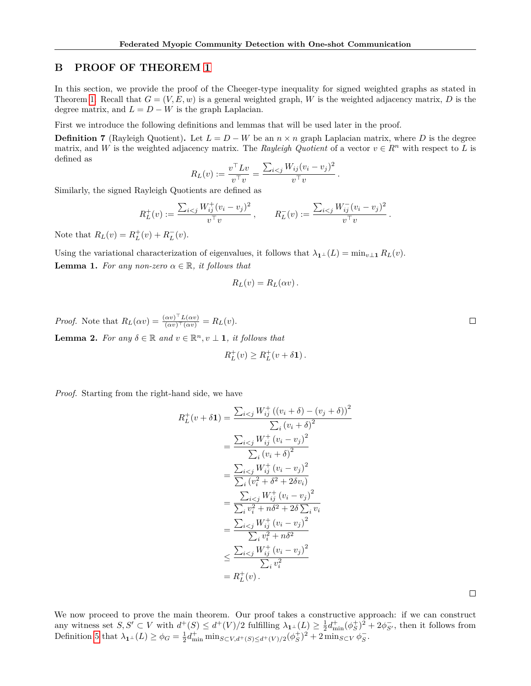### **B PROOF OF THEOREM [1](#page-4-3)**

In this section, we provide the proof of the Cheeger-type inequality for signed weighted graphs as stated in Theorem [1.](#page-4-3) Recall that  $G = (V, E, w)$  is a general weighted graph, W is the weighted adjacency matrix, D is the degree matrix, and  $L = D - W$  is the graph Laplacian.

First we introduce the following definitions and lemmas that will be used later in the proof.

**Definition 7** (Rayleigh Quotient). Let  $L = D - W$  be an  $n \times n$  graph Laplacian matrix, where *D* is the degree matrix, and *W* is the weighted adjacency matrix. The *Rayleigh Quotient* of a vector  $v \in R^n$  with respect to *L* is defined as

$$
R_L(v) := \frac{v^\top L v}{v^\top v} = \frac{\sum_{i < j} W_{ij} (v_i - v_j)^2}{v^\top v}.
$$

Similarly, the signed Rayleigh Quotients are defined as

$$
R_L^+(v) := \frac{\sum_{i < j} W_{ij}^+(v_i - v_j)^2}{v^\top v}, \qquad R_L^-(v) := \frac{\sum_{i < j} W_{ij}^-(v_i - v_j)^2}{v^\top v}.
$$

Note that  $R_L(v) = R_L^+(v) + R_L^-(v)$ .

<span id="page-11-0"></span>Using the variational characterization of eigenvalues, it follows that  $\lambda_{\mathbf{1}^{\perp}}(L) = \min_{v \perp \mathbf{1}} R_L(v)$ . **Lemma 1.** *For any non-zero*  $\alpha \in \mathbb{R}$ *, it follows that* 

$$
R_L(v) = R_L(\alpha v) \, .
$$

<span id="page-11-1"></span>*Proof.* Note that  $R_L(\alpha v) = \frac{(\alpha v)^{\top} L(\alpha v)}{(\alpha v)^{\top} (\alpha v)} = R_L(v)$ . **Lemma 2.** For any  $\delta \in \mathbb{R}$  and  $v \in \mathbb{R}^n$ ,  $v \perp \mathbf{1}$ , it follows that

$$
R_L^+(v) \ge R_L^+(v + \delta \mathbf{1}).
$$

*Proof.* Starting from the right-hand side, we have

$$
R_L^+(v + \delta \mathbf{1}) = \frac{\sum_{i < j} W_{ij}^+ ((v_i + \delta) - (v_j + \delta))^2}{\sum_i (v_i + \delta)^2}
$$
\n
$$
= \frac{\sum_{i < j} W_{ij}^+ (v_i - v_j)^2}{\sum_i (v_i + \delta)^2}
$$
\n
$$
= \frac{\sum_{i < j} W_{ij}^+ (v_i - v_j)^2}{\sum_i (v_i^2 + \delta^2 + 2\delta v_i)}
$$
\n
$$
= \frac{\sum_{i < j} W_{ij}^+ (v_i - v_j)^2}{\sum_i v_i^2 + n\delta^2 + 2\delta \sum_i v_i}
$$
\n
$$
= \frac{\sum_{i < j} W_{ij}^+ (v_i - v_j)^2}{\sum_i v_i^2 + n\delta^2}
$$
\n
$$
\leq \frac{\sum_{i < j} W_{ij}^+ (v_i - v_j)^2}{\sum_i v_i^2}
$$
\n
$$
= R_L^+(v) .
$$

We now proceed to prove the main theorem. Our proof takes a constructive approach: if we can construct any witness set  $S, S' \subset V$  with  $d^+(S) \leq d^+(V)/2$  fulfilling  $\lambda_{\mathbf{1}^\perp}(L) \geq \frac{1}{2}d_{\min}^+(\phi_S^+)^2 + 2\phi_{S'}^-$ , then it follows from Definition [5](#page-4-2) that  $\lambda_1 \perp (L) \ge \phi_G = \frac{1}{2} d_{\min}^+ \min_{S \subset V, d^+(S) \le d^+(V)/2} (\phi_S^+)^2 + 2 \min_{S \subset V} \phi_S^-$ .

 $\Box$ 

 $\Box$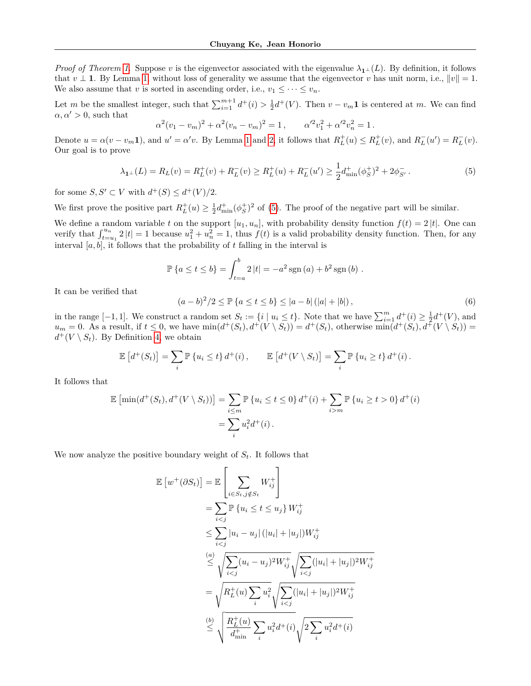*Proof of Theorem [1.](#page-4-3)* Suppose *v* is the eigenvector associated with the eigenvalue  $\lambda_1 \perp (L)$ . By definition, it follows that  $v \perp \mathbf{1}$ . By Lemma [1,](#page-11-0) without loss of generality we assume that the eigenvector v has unit norm, i.e.,  $||v|| = 1$ . We also assume that *v* is sorted in ascending order, i.e.,  $v_1 \leq \cdots \leq v_n$ .

Let *m* be the smallest integer, such that  $\sum_{i=1}^{m+1} d^+(i) > \frac{1}{2}d^+(V)$ . Then  $v - v_m \mathbf{1}$  is centered at *m*. We can find  $\alpha, \alpha' > 0$ , such that

$$
\alpha^2 (v_1 - v_m)^2 + \alpha^2 (v_n - v_m)^2 = 1, \qquad \alpha'^2 v_1^2 + \alpha'^2 v_n^2 = 1.
$$

Denote  $u = \alpha(v - v_m 1)$  $u = \alpha(v - v_m 1)$  $u = \alpha(v - v_m 1)$ , and  $u' = \alpha' v$ . By Lemma 1 and [2,](#page-11-1) it follows that  $R_L^+(u) \leq R_L^+(v)$ , and  $R_L^-(u') = R_L^-(v)$ . Our goal is to prove

<span id="page-12-0"></span>
$$
\lambda_{\mathbf{1}^{\perp}}(L) = R_L(v) = R_L^+(v) + R_L^-(v) \ge R_L^+(u) + R_L^-(u') \ge \frac{1}{2} d_{\min}^+(\phi_S^+)^2 + 2\phi_{S'}^-. \tag{5}
$$

for some  $S, S' \subset V$  with  $d^+(S) \leq d^+(V)/2$ .

We first prove the positive part  $R_L^+(u) \geq \frac{1}{2} d_{\min}^+(\phi_S^+)^2$  of [\(5\)](#page-12-0). The proof of the negative part will be similar.

We define a random variable *t* on the support  $[u_1, u_n]$ , with probability density function  $f(t) = 2 |t|$ . One can verify that  $\int_{t=u_1}^{u_n} 2 |t| = 1$  because  $u_1^2 + u_n^2 = 1$ , thus  $f(t)$  is a valid probability density function. Then, for any interval [*a, b*], it follows that the probability of *t* falling in the interval is

$$
\mathbb{P}\left\{a \le t \le b\right\} = \int_{t=a}^{b} 2|t| = -a^2 \operatorname{sgn}(a) + b^2 \operatorname{sgn}(b) .
$$

It can be verified that

<span id="page-12-1"></span>
$$
(a-b)^{2}/2 \le \mathbb{P}\left\{a \le t \le b\right\} \le |a-b| \left(|a|+|b|\right),\tag{6}
$$

in the range  $[-1, 1]$ . We construct a random set  $S_t := \{i \mid u_i \le t\}$ . Note that we have  $\sum_{i=1}^m d^+(i) \ge \frac{1}{2}d^+(V)$ , and  $u_m = 0$ . As a result, if  $t \leq 0$ , we have  $\min(d^+(S_t), d^+(V \setminus S_t)) = d^+(S_t)$ , otherwise  $\min(d^+(S_t), d^+(V \setminus S_t)) =$  $d^+(V \setminus S_t)$ . By Definition [4,](#page-4-4) we obtain

$$
\mathbb{E}\left[d^+(S_t)\right] = \sum_i \mathbb{P}\left\{u_i \leq t\right\} d^+(i), \qquad \mathbb{E}\left[d^+(V \setminus S_t)\right] = \sum_i \mathbb{P}\left\{u_i \geq t\right\} d^+(i).
$$

It follows that

$$
\mathbb{E}\left[\min(d^+(S_t), d^+(V \setminus S_t))\right] = \sum_{i \le m} \mathbb{P}\left\{u_i \le t \le 0\right\} d^+(i) + \sum_{i > m} \mathbb{P}\left\{u_i \ge t > 0\right\} d^+(i)
$$

$$
= \sum_i u_i^2 d^+(i).
$$

We now analyze the positive boundary weight of  $S_t$ . It follows that

E

$$
[w^{+}(\partial S_{t})] = \mathbb{E}\left[\sum_{i \in S_{t}, j \notin S_{t}} W_{ij}^{+}\right]
$$
  
\n
$$
= \sum_{i < j} \mathbb{P}\left\{u_{i} \leq t \leq u_{j}\right\} W_{ij}^{+}
$$
  
\n
$$
\leq \sum_{i < j} |u_{i} - u_{j}| (|u_{i}| + |u_{j}|) W_{ij}^{+}
$$
  
\n
$$
\leq \sqrt{\sum_{i < j} (u_{i} - u_{j})^{2} W_{ij}^{+}} \sqrt{\sum_{i < j} (|u_{i}| + |u_{j}|)^{2} W_{ij}^{+}}
$$
  
\n
$$
= \sqrt{R_{L}^{+}(u) \sum_{i} u_{i}^{2}} \sqrt{\sum_{i < j} (|u_{i}| + |u_{j}|)^{2} W_{ij}^{+}}
$$
  
\n
$$
\leq \sqrt{\frac{R_{L}^{+}(u)}{d_{\min}^{+}}} \sum_{i} u_{i}^{2} d^{+}(i) \sqrt{2 \sum_{i} u_{i}^{2} d^{+}(i)}
$$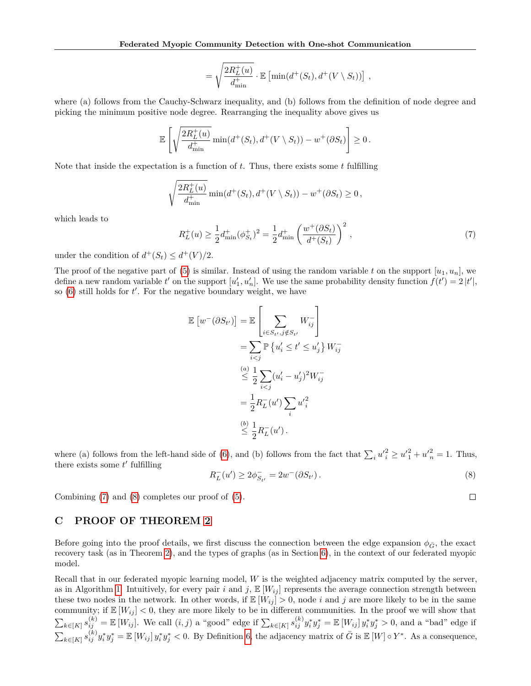$$
= \sqrt{\frac{2R_L^+(u)}{d_{\min}^+}} \cdot \mathbb{E}\left[\min(d^+(S_t), d^+(V \setminus S_t))\right],
$$

where (a) follows from the Cauchy-Schwarz inequality, and (b) follows from the definition of node degree and picking the minimum positive node degree. Rearranging the inequality above gives us

$$
\mathbb{E}\left[\sqrt{\frac{2R_L^+(u)}{d_{\min}^+}}\min(d^+(S_t),d^+(V\setminus S_t)) - w^+(\partial S_t)\right] \geq 0.
$$

Note that inside the expectation is a function of *t*. Thus, there exists some *t* fulfilling

$$
\sqrt{\frac{2R_L^+(u)}{d_{\min}^+}} \min(d^+(S_t), d^+(V \setminus S_t)) - w^+(\partial S_t) \ge 0,
$$

which leads to

<span id="page-13-0"></span>
$$
R_L^+(u) \ge \frac{1}{2} d_{\min}^+(\phi_{S_t}^+)^2 = \frac{1}{2} d_{\min}^+\left(\frac{w^+(\partial S_t)}{d^+(S_t)}\right)^2,
$$
\n<sup>(7)</sup>

under the condition of  $d^+(S_t) \leq d^+(V)/2$ .

The proof of the negative part of [\(5\)](#page-12-0) is similar. Instead of using the random variable  $t$  on the support  $[u_1, u_n]$ , we define a new random variable  $t'$  on the support  $[u'_1, u'_n]$ . We use the same probability density function  $f(t') = 2|t'|$ , so  $(6)$  still holds for  $t'$ . For the negative boundary weight, we have

$$
\mathbb{E}\left[w^-(\partial S_{t'})\right] = \mathbb{E}\left[\sum_{i \in S_{t'}, j \notin S_{t'}} W_{ij}^-\right]
$$
  
\n
$$
= \sum_{i < j} \mathbb{P}\left\{u'_i \le t' \le u'_j\right\} W_{ij}^-\right]
$$
  
\n
$$
\stackrel{(a)}{\leq} \frac{1}{2} \sum_{i < j} (u'_i - u'_j)^2 W_{ij}^-\right]
$$
  
\n
$$
= \frac{1}{2} R_L^-(u') \sum_i u'_i^2
$$
  
\n
$$
\stackrel{(b)}{\leq} \frac{1}{2} R_L^-(u').
$$

where (a) follows from the left-hand side of [\(6\)](#page-12-1), and (b) follows from the fact that  $\sum_i u_i^2 \ge u_1^2 + u_n^2 = 1$ . Thus, there exists some  $t'$  fulfilling

<span id="page-13-1"></span>
$$
R_L^-(u') \ge 2\phi_{S_{t'}}^- = 2w^-(\partial S_{t'}).
$$
\n(8)

 $\Box$ 

Combining [\(7\)](#page-13-0) and [\(8\)](#page-13-1) completes our proof of [\(5\)](#page-12-0).

## **C PROOF OF THEOREM [2](#page-5-1)**

Before going into the proof details, we first discuss the connection between the edge expansion  $\phi_{\bar{G}}$ , the exact recovery task (as in Theorem [2\)](#page-5-1), and the types of graphs (as in Section [6\)](#page-6-2), in the context of our federated myopic model.

Recall that in our federated myopic learning model, *W* is the weighted adjacency matrix computed by the server, as in Algorithm [1.](#page-4-0) Intuitively, for every pair  $i$  and  $j$ ,  $\mathbb{E}[W_{ij}]$  represents the average connection strength between these two nodes in the network. In other words, if  $\mathbb{E}[W_{ij}] > 0$ , node *i* and *j* are more likely to be in the same community; if  $\mathbb{E}[W_{ij}] < 0$ , they are more likely to be in different communities. In the proof we will show that  $\sum_{k \in [K]} s_{ij}^{(k)} = \mathbb{E}[W_{ij}]$ . We call  $(i, j)$  a "good" edge if  $\sum_{k \in [K]} s_{ij}^{(k)} y_i^* y_j^* = \mathbb{E}[W_{ij}] y_i^* y_j^* > 0$ , and a "bad" edge if  $\sum_{k \in [K]} s_{ij}^{(k)} y_i^* y_j^* = \mathbb{E} [W_{ij}] y_i^* y_j^* < 0$ . By Definition [6,](#page-5-2) the adjacency matrix of  $\bar{G}$  is  $\mathbb{E} [W] \circ Y^*$ . As a consequence,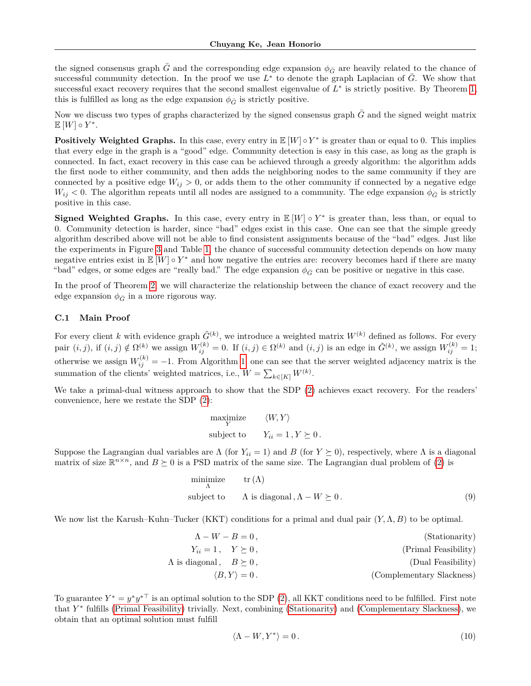the signed consensus graph  $\bar{G}$  and the corresponding edge expansion  $\phi_{\bar{G}}$  are heavily related to the chance of successful community detection. In the proof we use  $L^*$  to denote the graph Laplacian of  $\bar{G}$ . We show that successful exact recovery requires that the second smallest eigenvalue of  $L^*$  is strictly positive. By Theorem [1,](#page-4-3) this is fulfilled as long as the edge expansion  $\phi_{\bar{G}}$  is strictly positive.

Now we discuss two types of graphs characterized by the signed consensus graph  $\bar{G}$  and the signed weight matrix  $\mathbb{E}[W] \circ Y^*$ .

**Positively Weighted Graphs.** In this case, every entry in  $\mathbb{E}[W] \circ Y^*$  is greater than or equal to 0. This implies that every edge in the graph is a "good" edge. Community detection is easy in this case, as long as the graph is connected. In fact, exact recovery in this case can be achieved through a greedy algorithm: the algorithm adds the first node to either community, and then adds the neighboring nodes to the same community if they are connected by a positive edge  $W_{ij} > 0$ , or adds them to the other community if connected by a negative edge  $W_{ij}$  < 0. The algorithm repeats until all nodes are assigned to a community. The edge expansion  $\phi_{\bar{G}}$  is strictly positive in this case.

**Signed Weighted Graphs.** In this case, every entry in  $\mathbb{E}[W] \circ Y^*$  is greater than, less than, or equal to 0. Community detection is harder, since "bad" edges exist in this case. One can see that the simple greedy algorithm described above will not be able to find consistent assignments because of the "bad" edges. Just like the experiments in Figure [3](#page-6-0) and Table [1,](#page-6-1) the chance of successful community detection depends on how many negative entries exist in  $\mathbb{E}[W] \circ Y^*$  and how negative the entries are: recovery becomes hard if there are many "bad" edges, or some edges are "really bad." The edge expansion  $\phi_{\bar{G}}$  can be positive or negative in this case.

In the proof of Theorem [2,](#page-5-1) we will characterize the relationship between the chance of exact recovery and the edge expansion  $\phi_{\bar{G}}$  in a more rigorous way.

### **C.1 Main Proof**

For every client *k* with evidence graph  $\tilde{G}^{(k)}$ , we introduce a weighted matrix  $W^{(k)}$  defined as follows. For every pair  $(i, j)$ , if  $(i, j) \notin \Omega^{(k)}$  we assign  $W_{ij}^{(k)} = 0$ . If  $(i, j) \in \Omega^{(k)}$  and  $(i, j)$  is an edge in  $\tilde{G}^{(k)}$ , we assign  $W_{ij}^{(k)} = 1$ ; otherwise we assign  $W_{ij}^{(k)} = -1$ . From Algorithm [1,](#page-4-0) one can see that the server weighted adjacency matrix is the summation of the clients' weighted matrices, i.e.,  $W = \sum_{k \in [K]} W^{(k)}$ .

We take a primal-dual witness approach to show that the SDP [\(2\)](#page-5-0) achieves exact recovery. For the readers' convenience, here we restate the SDP [\(2\)](#page-5-0):

$$
\begin{aligned} & \underset{Y}{\text{maximize}} && \langle W, Y \rangle \\ & \text{subject to} && Y_{ii} = 1 \,, Y \succeq 0 \,. \end{aligned}
$$

Suppose the Lagrangian dual variables are  $\Lambda$  (for  $Y_{ii} = 1$ ) and *B* (for  $Y \succeq 0$ ), respectively, where  $\Lambda$  is a diagonal matrix of size  $\mathbb{R}^{n \times n}$ , and  $B \succeq 0$  is a PSD matrix of the same size. The Lagrangian dual problem of [\(2\)](#page-5-0) is

$$
\begin{array}{ll}\n\text{minimize} & \text{tr}\left(\Lambda\right) \\
\text{subject to} & \Lambda \text{ is diagonal}, \Lambda - W \succeq 0. \tag{9}\n\end{array}
$$

We now list the Karush–Kuhn–Tucker (KKT) conditions for a primal and dual pair (*Y,*Λ*, B*) to be optimal.

$$
\Lambda - W - B = 0, \qquad \qquad \text{(Stationarity)}
$$
\n
$$
Y_{ii} = 1, \quad Y \succeq 0, \qquad \qquad \text{(Primal Feasibility)}
$$
\n
$$
\langle B, Y \rangle = 0. \qquad \qquad \text{(Dual Feasibility)}
$$
\n
$$
\langle B, Y \rangle = 0. \qquad \qquad \text{(Complementary Slackness)}
$$

To guarantee  $Y^* = y^*y^{*\top}$  is an optimal solution to the SDP [\(2\)](#page-5-0), all KKT conditions need to be fulfilled. First note that *Y* ∗ fulfills [\(Primal Feasibility\)](#page-14-0) trivially. Next, combining [\(Stationarity\)](#page-14-1) and [\(Complementary Slackness\)](#page-14-2), we obtain that an optimal solution must fulfill

<span id="page-14-4"></span><span id="page-14-3"></span><span id="page-14-2"></span><span id="page-14-1"></span><span id="page-14-0"></span>
$$
\langle \Lambda - W, Y^* \rangle = 0. \tag{10}
$$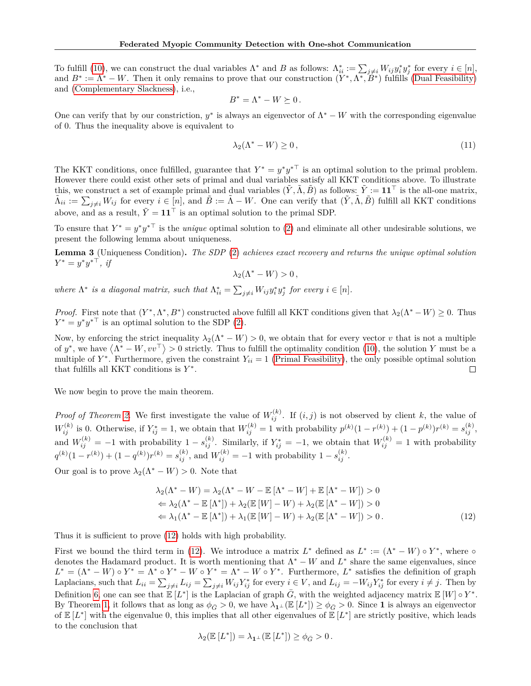To fulfill [\(10\)](#page-14-3), we can construct the dual variables  $\Lambda^*$  and *B* as follows:  $\Lambda_{ii}^* := \sum_{j \neq i} W_{ij} y_i^* y_j^*$  for every  $i \in [n]$ , and  $B^* := \Lambda^* - W$ . Then it only remains to prove that our construction  $(Y^*, \Lambda^*, \check{B}^*)$  fulfills [\(Dual Feasibility\)](#page-14-4) and [\(Complementary Slackness\)](#page-14-2), i.e.,

$$
B^*=\Lambda^* - W \succeq 0\,.
$$

One can verify that by our constriction,  $y^*$  is always an eigenvector of  $\Lambda^* - W$  with the corresponding eigenvalue of 0. Thus the inequality above is equivalent to

$$
\lambda_2(\Lambda^* - W) \ge 0,\tag{11}
$$

The KKT conditions, once fulfilled, guarantee that  $Y^* = y^*y^{*\top}$  is an optimal solution to the primal problem. However there could exist other sets of primal and dual variables satisfy all KKT conditions above. To illustrate this, we construct a set of example primal and dual variables  $(\tilde{Y}, \tilde{\Lambda}, \tilde{B})$  as follows:  $\tilde{Y} := 11^{\top}$  is the all-one matrix,  $\tilde{\Lambda}_{ii} := \sum_{j \neq i} W_{ij}$  for every  $i \in [n]$ , and  $\tilde{B} := \tilde{\Lambda} - W$ . One can verify that  $(\tilde{Y}, \tilde{\Lambda}, \tilde{B})$  fulfill all KKT conditions above, and as a result,  $\tilde{Y} = 11^{\top}$  is an optimal solution to the primal SDP.

To ensure that  $Y^* = y^*y^{*\top}$  is the *unique* optimal solution to [\(2\)](#page-5-0) and eliminate all other undesirable solutions, we present the following lemma about uniqueness.

**Lemma 3** (Uniqueness Condition)**.** *The SDP* [\(2\)](#page-5-0) *achieves exact recovery and returns the unique optimal solution*  $Y^* = y^* y^{* \top}, \; i j$ 

$$
\lambda_2(\Lambda^*-W)>0\,,
$$

where  $\Lambda^*$  is a diagonal matrix, such that  $\Lambda_{ii}^* = \sum_{j \neq i} W_{ij} y_i^* y_j^*$  for every  $i \in [n]$ .

*Proof.* First note that  $(Y^*, \Lambda^*, B^*)$  constructed above fulfill all KKT conditions given that  $\lambda_2(\Lambda^* - W) \geq 0$ . Thus  $Y^* = y^* y^{*T}$  is an optimal solution to the SDP [\(2\)](#page-5-0).

Now, by enforcing the strict inequality  $\lambda_2(\Lambda^* - W) > 0$ , we obtain that for every vector *v* that is not a multiple of  $y^*$ , we have  $\langle \Lambda^* - W, vv^\top \rangle > 0$  strictly. Thus to fulfill the optimality condition [\(10\)](#page-14-3), the solution *Y* must be a multiple of  $Y^*$ . Furthermore, given the constraint  $Y_{ii} = 1$  [\(Primal Feasibility\)](#page-14-0), the only possible optimal solution that fulfills all KKT conditions is *Y* ∗ .  $\Box$ 

We now begin to prove the main theorem.

*Proof of Theorem [2.](#page-5-1)* We first investigate the value of  $W_{ij}^{(k)}$ . If  $(i, j)$  is not observed by client *k*, the value of  $W_{ij}^{(k)}$  is 0. Otherwise, if  $Y_{ij}^* = 1$ , we obtain that  $W_{ij}^{(k)} = 1$  with probability  $p^{(k)}(1 - r^{(k)}) + (1 - p^{(k)})r^{(k)} = s_{ij}^{(k)}$ , and  $W_{ij}^{(k)} = -1$  with probability  $1 - s_{ij}^{(k)}$ . Similarly, if  $Y_{ij}^* = -1$ , we obtain that  $W_{ij}^{(k)} = 1$  with probability  $q^{(k)}(1 - r^{(k)}) + (1 - q^{(k)})r^{(k)} = s_{ij}^{(k)}$ , and  $W_{ij}^{(k)} = -1$  with probability  $1 - s_{ij}^{(k)}$ .

Our goal is to prove  $\lambda_2(\Lambda^* - W) > 0$ . Note that

$$
\lambda_2(\Lambda^* - W) = \lambda_2(\Lambda^* - W - \mathbb{E}[\Lambda^* - W] + \mathbb{E}[\Lambda^* - W]) > 0
$$
  
\n
$$
\Leftarrow \lambda_2(\Lambda^* - \mathbb{E}[\Lambda^*]) + \lambda_2(\mathbb{E}[W] - W) + \lambda_2(\mathbb{E}[\Lambda^* - W]) > 0
$$
  
\n
$$
\Leftarrow \lambda_1(\Lambda^* - \mathbb{E}[\Lambda^*]) + \lambda_1(\mathbb{E}[W] - W) + \lambda_2(\mathbb{E}[\Lambda^* - W]) > 0.
$$
 (12)

Thus it is sufficient to prove [\(12\)](#page-15-0) holds with high probability.

First we bound the third term in [\(12\)](#page-15-0). We introduce a matrix  $L^*$  defined as  $L^* := (\Lambda^* - W) \circ Y^*$ , where  $\circ$ denotes the Hadamard product. It is worth mentioning that  $\Lambda^* - W$  and  $L^*$  share the same eigenvalues, since  $L^* = (\Lambda^* - W) \circ Y^* = \Lambda^* \circ Y^* - W \circ Y^* = \Lambda^* - W \circ Y^*$ . Furthermore,  $L^*$  satisfies the definition of graph Laplacians, such that  $L_{ii} = \sum_{j\neq i} L_{ij} = \sum_{j\neq i} W_{ij} Y_{ij}^*$  for every  $i \in V$ , and  $L_{ij} = -W_{ij} Y_{ij}^*$  for every  $i \neq j$ . Then by Definition [6,](#page-5-2) one can see that  $\mathbb{E}[L^*]$  is the Laplacian of graph  $\bar{G}$ , with the weighted adjacency matrix  $\mathbb{E}[W] \circ Y^*$ . By Theorem [1,](#page-4-3) it follows that as long as  $\phi_{\bar{G}} > 0$ , we have  $\lambda_{\mathbf{1}^\perp}(\mathbb{E}[L^*]) \ge \phi_{\bar{G}} > 0$ . Since 1 is always an eigenvector of  $E[L^*]$  with the eigenvalue 0, this implies that all other eigenvalues of  $E[L^*]$  are strictly positive, which leads to the conclusion that

<span id="page-15-0"></span>
$$
\lambda_2(\mathbb{E}\left[L^*\right]) = \lambda_{\mathbf{1}^\perp}(\mathbb{E}\left[L^*\right]) \ge \phi_{\bar{G}} > 0.
$$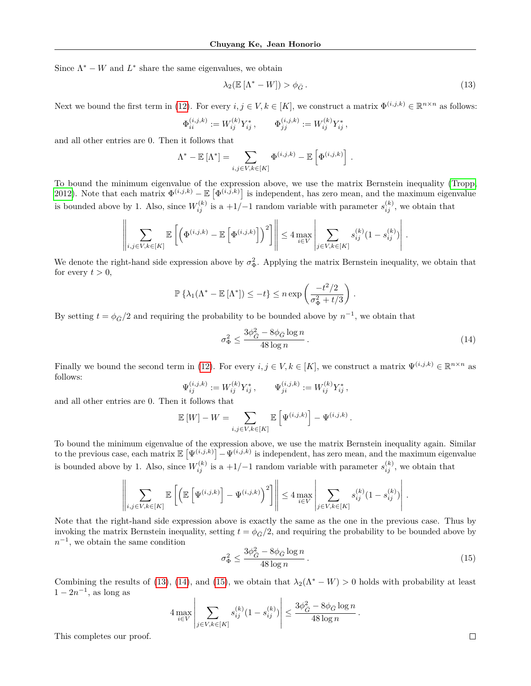Since  $\Lambda^* - W$  and  $L^*$  share the same eigenvalues, we obtain

<span id="page-16-0"></span>
$$
\lambda_2(\mathbb{E}\left[\Lambda^*-W\right]) > \phi_{\bar{G}}\,. \tag{13}
$$

Next we bound the first term in [\(12\)](#page-15-0). For every  $i, j \in V, k \in [K]$ , we construct a matrix  $\Phi^{(i,j,k)} \in \mathbb{R}^{n \times n}$  as follows:

$$
\Phi_{ii}^{(i,j,k)} := W_{ij}^{(k)} Y_{ij}^*, \qquad \Phi_{jj}^{(i,j,k)} := W_{ij}^{(k)} Y_{ij}^*,
$$

and all other entries are 0. Then it follows that

$$
\Lambda^* - \mathbb{E} \left[ \Lambda^* \right] = \sum_{i,j \in V, k \in [K]} \Phi^{(i,j,k)} - \mathbb{E} \left[ \Phi^{(i,j,k)} \right].
$$

To bound the minimum eigenvalue of the expression above, we use the matrix Bernstein inequality [\(Tropp,](#page-9-19) [2012\)](#page-9-19). Note that each matrix  $\Phi^{(i,j,k)} - \mathbb{E} [\Phi^{(i,j,k)}]$  is independent, has zero mean, and the maximum eigenvalue is bounded above by 1. Also, since  $W_{ij}^{(k)}$  is a  $+1/-1$  random variable with parameter  $s_{ij}^{(k)}$ , we obtain that

$$
\left\|\sum_{i,j\in V,k\in[K]}\mathbb{E}\left[\left(\Phi^{(i,j,k)}-\mathbb{E}\left[\Phi^{(i,j,k)}\right]\right)^2\right]\right\|\leq 4\max_{i\in V}\left|\sum_{j\in V,k\in[K]}s_{ij}^{(k)}(1-s_{ij}^{(k)})\right|.
$$

We denote the right-hand side expression above by  $\sigma_{\Phi}^2$ . Applying the matrix Bernstein inequality, we obtain that for every  $t > 0$ ,

$$
\mathbb{P}\left\{\lambda_1(\Lambda^* - \mathbb{E}\left[\Lambda^*\right]) \le -t\right\} \le n \exp\left(\frac{-t^2/2}{\sigma_{\Phi}^2 + t/3}\right)
$$

By setting  $t = \phi_{\bar{G}}/2$  and requiring the probability to be bounded above by  $n^{-1}$ , we obtain that

<span id="page-16-1"></span>
$$
\sigma_{\Phi}^2 \le \frac{3\phi_{\bar{G}}^2 - 8\phi_{\bar{G}}\log n}{48\log n} \,. \tag{14}
$$

*.*

Finally we bound the second term in [\(12\)](#page-15-0). For every  $i, j \in V, k \in [K]$ , we construct a matrix  $\Psi^{(i,j,k)} \in \mathbb{R}^{n \times n}$  as follows:

$$
\Psi_{ij}^{(i,j,k)} := W_{ij}^{(k)} Y_{ij}^*, \qquad \Psi_{ji}^{(i,j,k)} := W_{ij}^{(k)} Y_{ij}^*,
$$

and all other entries are 0. Then it follows that

$$
\mathbb{E}[W] - W = \sum_{i,j \in V, k \in [K]} \mathbb{E}\left[\Psi^{(i,j,k)}\right] - \Psi^{(i,j,k)}.
$$

To bound the minimum eigenvalue of the expression above, we use the matrix Bernstein inequality again. Similar to the previous case, each matrix  $\mathbb{E}\left[\Psi^{(i,j,k)}\right] - \Psi^{(i,j,k)}$  is independent, has zero mean, and the maximum eigenvalue is bounded above by 1. Also, since  $W_{ij}^{(k)}$  is a  $+1/-1$  random variable with parameter  $s_{ij}^{(k)}$ , we obtain that

$$
\left\|\sum_{i,j\in V,k\in[K]}\mathbb{E}\left[\left(\mathbb{E}\left[\Psi^{(i,j,k)}\right]-\Psi^{(i,j,k)}\right)^2\right]\right\|\leq 4\max_{i\in V}\left|\sum_{j\in V,k\in[K]}s_{ij}^{(k)}(1-s_{ij}^{(k)})\right|.
$$

Note that the right-hand side expression above is exactly the same as the one in the previous case. Thus by invoking the matrix Bernstein inequality, setting  $t = \phi_{\bar{G}}/2$ , and requiring the probability to be bounded above by  $n^{-1}$ , we obtain the same condition

<span id="page-16-2"></span>
$$
\sigma_{\Phi}^2 \le \frac{3\phi_{\bar{G}}^2 - 8\phi_{\bar{G}}\log n}{48\log n} \,. \tag{15}
$$

Combining the results of [\(13\)](#page-16-0), [\(14\)](#page-16-1), and [\(15\)](#page-16-2), we obtain that  $\lambda_2(\Lambda^* - W) > 0$  holds with probability at least  $1 - 2n^{-1}$ , as long as

$$
4 \max_{i \in V} \left| \sum_{j \in V, k \in [K]} s_{ij}^{(k)} (1 - s_{ij}^{(k)}) \right| \le \frac{3 \phi_{\bar{G}}^2 - 8 \phi_{\bar{G}} \log n}{48 \log n}.
$$

This completes our proof.